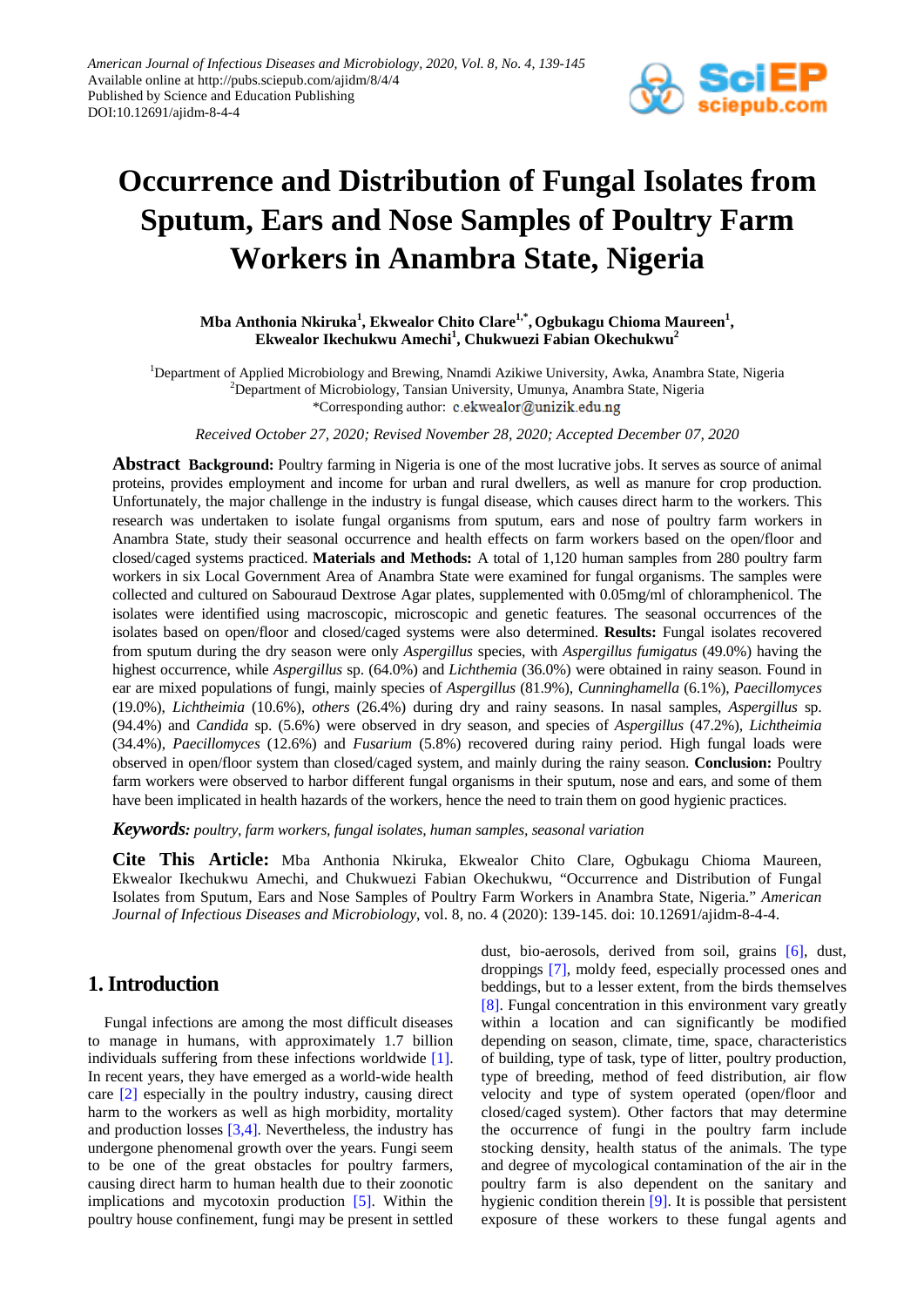

# **Occurrence and Distribution of Fungal Isolates from Sputum, Ears and Nose Samples of Poultry Farm Workers in Anambra State, Nigeria**

**Mba Anthonia Nkiruka<sup>1</sup> , Ekwealor Chito Clare1,\* , Ogbukagu Chioma Maureen1 , Ekwealor Ikechukwu Amechi1 , Chukwuezi Fabian Okechukwu2**

<sup>1</sup>Department of Applied Microbiology and Brewing, Nnamdi Azikiwe University, Awka, Anambra State, Nigeria <sup>2</sup>Department of Microbiology, Tansian University, Umunya, Anambra State, Nigeria \*Corresponding author: c.ekwealor@unizik.edu.ng

*Received October 27, 2020; Revised November 28, 2020; Accepted December 07, 2020*

**Abstract Background:** Poultry farming in Nigeria is one of the most lucrative jobs. It serves as source of animal proteins, provides employment and income for urban and rural dwellers, as well as manure for crop production. Unfortunately, the major challenge in the industry is fungal disease, which causes direct harm to the workers. This research was undertaken to isolate fungal organisms from sputum, ears and nose of poultry farm workers in Anambra State, study their seasonal occurrence and health effects on farm workers based on the open/floor and closed/caged systems practiced. **Materials and Methods:** A total of 1,120 human samples from 280 poultry farm workers in six Local Government Area of Anambra State were examined for fungal organisms. The samples were collected and cultured on Sabouraud Dextrose Agar plates, supplemented with 0.05mg/ml of chloramphenicol. The isolates were identified using macroscopic, microscopic and genetic features. The seasonal occurrences of the isolates based on open/floor and closed/caged systems were also determined. **Results:** Fungal isolates recovered from sputum during the dry season were only *Aspergillus* species, with *Aspergillus fumigatus* (49.0%) having the highest occurrence, while *Aspergillus* sp. (64.0%) and *Lichthemia* (36.0%) were obtained in rainy season. Found in ear are mixed populations of fungi, mainly species of *Aspergillus* (81.9%), *Cunninghamella* (6.1%), *Paecillomyces*  (19.0%), *Lichtheimia* (10.6%), *others* (26.4%) during dry and rainy seasons. In nasal samples, *Aspergillus* sp. (94.4%) and *Candida* sp. (5.6%) were observed in dry season, and species of *Aspergillus* (47.2%), *Lichtheimia*  (34.4%), *Paecillomyces* (12.6%) and *Fusarium* (5.8%) recovered during rainy period. High fungal loads were observed in open/floor system than closed/caged system, and mainly during the rainy season. **Conclusion:** Poultry farm workers were observed to harbor different fungal organisms in their sputum, nose and ears, and some of them have been implicated in health hazards of the workers, hence the need to train them on good hygienic practices.

*Keywords: poultry, farm workers, fungal isolates, human samples, seasonal variation*

**Cite This Article:** Mba Anthonia Nkiruka, Ekwealor Chito Clare, Ogbukagu Chioma Maureen, Ekwealor Ikechukwu Amechi, and Chukwuezi Fabian Okechukwu, "Occurrence and Distribution of Fungal Isolates from Sputum, Ears and Nose Samples of Poultry Farm Workers in Anambra State, Nigeria." *American Journal of Infectious Diseases and Microbiology*, vol. 8, no. 4 (2020): 139-145. doi: 10.12691/ajidm-8-4-4.

# **1. Introduction**

Fungal infections are among the most difficult diseases to manage in humans, with approximately 1.7 billion individuals suffering from these infections worldwide [\[1\].](#page-5-0) In recent years, they have emerged as a world-wide health care [\[2\]](#page-5-1) especially in the poultry industry, causing direct harm to the workers as well as high morbidity, mortality and production losses [\[3,4\].](#page-5-2) Nevertheless, the industry has undergone phenomenal growth over the years. Fungi seem to be one of the great obstacles for poultry farmers, causing direct harm to human health due to their zoonotic implications and mycotoxin production [\[5\].](#page-5-3) Within the poultry house confinement, fungi may be present in settled dust, bio-aerosols, derived from soil, grains [\[6\],](#page-5-4) dust, droppings [\[7\],](#page-5-5) moldy feed, especially processed ones and beddings, but to a lesser extent, from the birds themselves [\[8\].](#page-5-6) Fungal concentration in this environment vary greatly within a location and can significantly be modified depending on season, climate, time, space, characteristics of building, type of task, type of litter, poultry production, type of breeding, method of feed distribution, air flow velocity and type of system operated (open/floor and closed/caged system). Other factors that may determine the occurrence of fungi in the poultry farm include stocking density, health status of the animals. The type and degree of mycological contamination of the air in the poultry farm is also dependent on the sanitary and hygienic condition therein [\[9\].](#page-5-7) It is possible that persistent exposure of these workers to these fungal agents and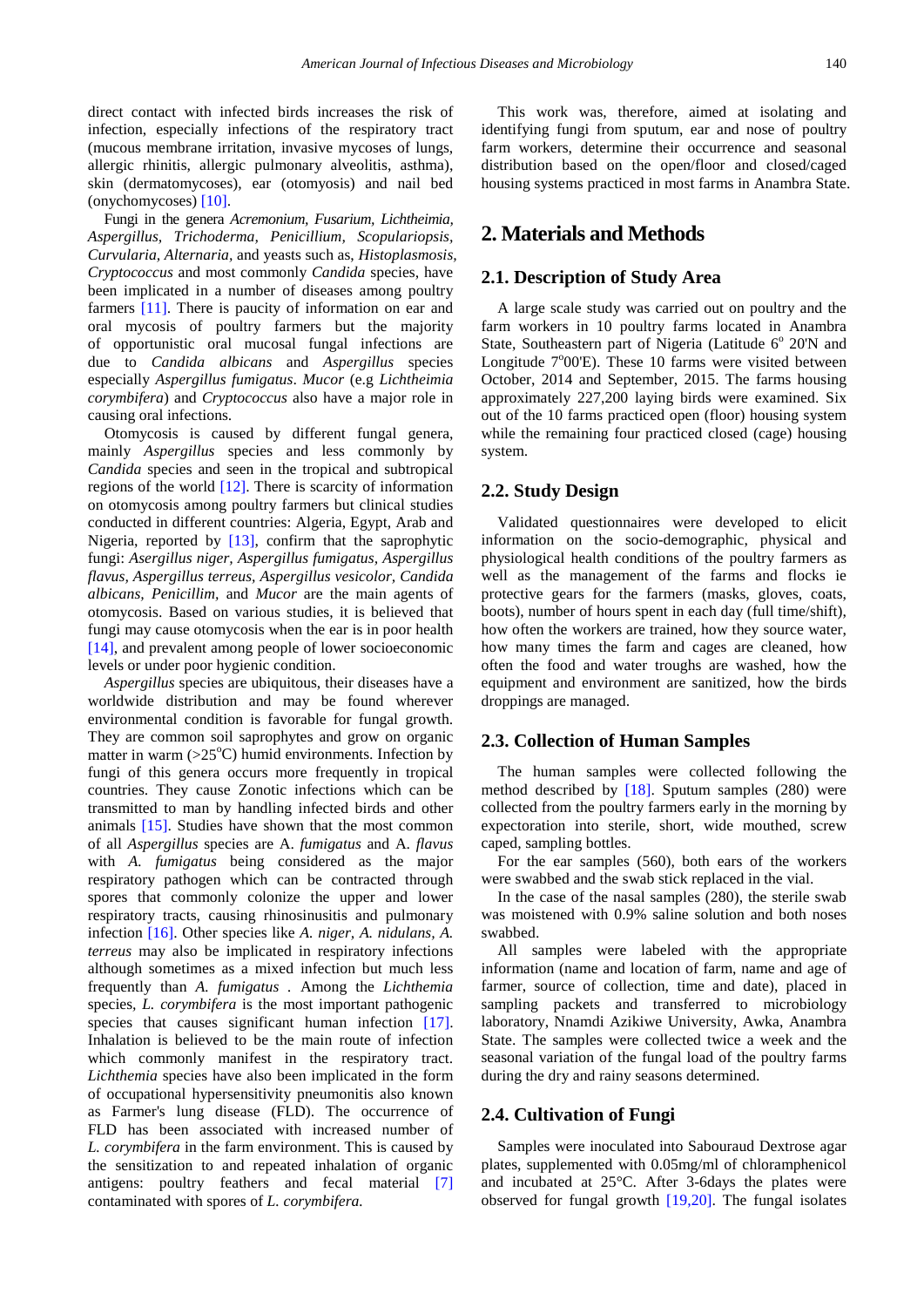direct contact with infected birds increases the risk of infection, especially infections of the respiratory tract (mucous membrane irritation, invasive mycoses of lungs, allergic rhinitis, allergic pulmonary alveolitis, asthma), skin (dermatomycoses), ear (otomyosis) and nail bed (onychomycoses[\) \[10\].](#page-5-8)

Fungi in the genera *Acremonium, Fusarium, Lichtheimia, Aspergillus, Trichoderma, Penicillium, Scopulariopsis, Curvularia, Alternaria,* and yeasts such as, *Histoplasmosis, Cryptococcus* and most commonly *Candida* species, have been implicated in a number of diseases among poultry farmers [\[11\].](#page-5-9) There is paucity of information on ear and oral mycosis of poultry farmers but the majority of opportunistic oral mucosal fungal infections are due to *Candida albicans* and *Aspergillus* species especially *Aspergillus fumigatus*. *Mucor* (e.g *Lichtheimia corymbifera*) and *Cryptococcus* also have a major role in causing oral infections.

Otomycosis is caused by different fungal genera, mainly *Aspergillus* species and less commonly by *Candida* species and seen in the tropical and subtropical regions of the world [\[12\].](#page-5-10) There is scarcity of information on otomycosis among poultry farmers but clinical studies conducted in different countries: Algeria, Egypt, Arab and Nigeria, reported by [\[13\],](#page-5-11) confirm that the saprophytic fungi: *Asergillus niger, Aspergillus fumigatus, Aspergillus flavus, Aspergillus terreus, Aspergillus vesicolor, Candida albicans, Penicillim,* and *Mucor* are the main agents of otomycosis. Based on various studies, it is believed that fungi may cause otomycosis when the ear is in poor health [\[14\],](#page-5-12) and prevalent among people of lower socioeconomic levels or under poor hygienic condition.

*Aspergillus* species are ubiquitous, their diseases have a worldwide distribution and may be found wherever environmental condition is favorable for fungal growth. They are common soil saprophytes and grow on organic matter in warm  $(>25^{\circ}C)$  humid environments. Infection by fungi of this genera occurs more frequently in tropical countries. They cause Zonotic infections which can be transmitted to man by handling infected birds and other animals [\[15\].](#page-5-13) Studies have shown that the most common of all *Aspergillus* species are A. *fumigatus* and A. *flavus* with *A. fumigatus* being considered as the major respiratory pathogen which can be contracted through spores that commonly colonize the upper and lower respiratory tracts, causing rhinosinusitis and pulmonary infection [\[16\].](#page-5-14) Other species like *A. niger, A. nidulans, A. terreus* may also be implicated in respiratory infections although sometimes as a mixed infection but much less frequently than *A. fumigatus .* Among the *Lichthemia* species*, L. corymbifera* is the most important pathogenic species that causes significant human infection [\[17\].](#page-5-15) Inhalation is believed to be the main route of infection which commonly manifest in the respiratory tract. *Lichthemia* species have also been implicated in the form of occupational hypersensitivity pneumonitis also known as Farmer's lung disease (FLD). The occurrence of FLD has been associated with increased number of *L. corymbifera* in the farm environment. This is caused by the sensitization to and repeated inhalation of organic antigens: poultry feathers and fecal material [\[7\]](#page-5-5) contaminated with spores of *L. corymbifera.* 

This work was, therefore, aimed at isolating and identifying fungi from sputum, ear and nose of poultry farm workers, determine their occurrence and seasonal distribution based on the open/floor and closed/caged housing systems practiced in most farms in Anambra State.

# **2. Materials and Methods**

#### **2.1. Description of Study Area**

A large scale study was carried out on poultry and the farm workers in 10 poultry farms located in Anambra State, Southeastern part of Nigeria (Latitude  $6^{\circ}$  20'N and Longitude  $7^{\circ}00'$ E). These 10 farms were visited between October, 2014 and September, 2015. The farms housing approximately 227,200 laying birds were examined. Six out of the 10 farms practiced open (floor) housing system while the remaining four practiced closed (cage) housing system.

#### **2.2. Study Design**

Validated questionnaires were developed to elicit information on the socio-demographic, physical and physiological health conditions of the poultry farmers as well as the management of the farms and flocks ie protective gears for the farmers (masks, gloves, coats, boots), number of hours spent in each day (full time/shift), how often the workers are trained, how they source water, how many times the farm and cages are cleaned, how often the food and water troughs are washed, how the equipment and environment are sanitized, how the birds droppings are managed.

#### **2.3. Collection of Human Samples**

The human samples were collected following the method described by [\[18\].](#page-5-16) Sputum samples (280) were collected from the poultry farmers early in the morning by expectoration into sterile, short, wide mouthed, screw caped, sampling bottles.

For the ear samples (560), both ears of the workers were swabbed and the swab stick replaced in the vial.

In the case of the nasal samples (280), the sterile swab was moistened with 0.9% saline solution and both noses swabbed.

All samples were labeled with the appropriate information (name and location of farm, name and age of farmer, source of collection, time and date), placed in sampling packets and transferred to microbiology laboratory, Nnamdi Azikiwe University, Awka, Anambra State. The samples were collected twice a week and the seasonal variation of the fungal load of the poultry farms during the dry and rainy seasons determined.

#### **2.4. Cultivation of Fungi**

Samples were inoculated into Sabouraud Dextrose agar plates, supplemented with 0.05mg/ml of chloramphenicol and incubated at 25°C. After 3-6days the plates were observed for fungal growth [\[19,20\].](#page-5-17) The fungal isolates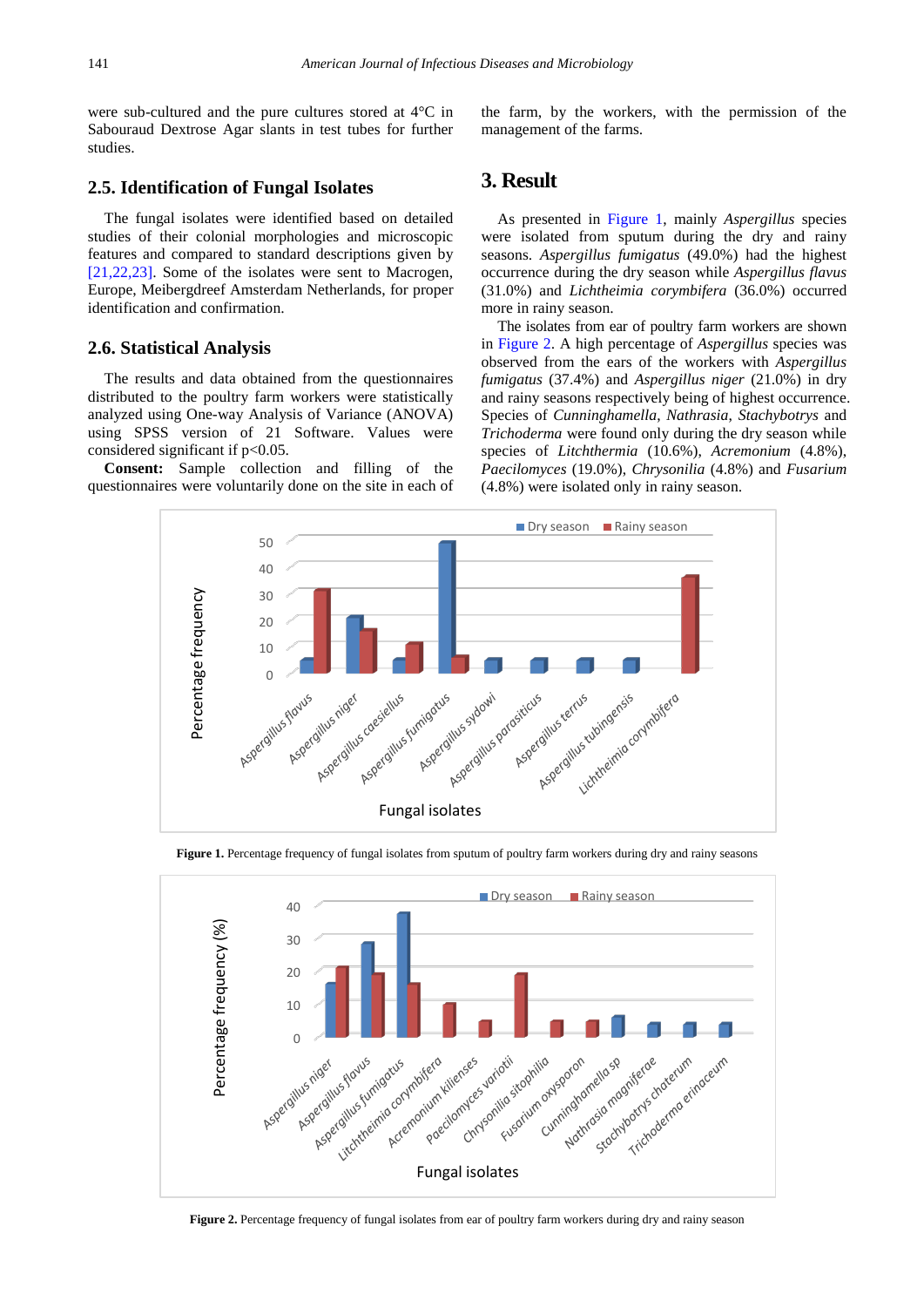were sub-cultured and the pure cultures stored at 4°C in Sabouraud Dextrose Agar slants in test tubes for further studies.

#### **2.5. Identification of Fungal Isolates**

The fungal isolates were identified based on detailed studies of their colonial morphologies and microscopic features and compared to standard descriptions given by [\[21,22,23\].](#page-5-18) Some of the isolates were sent to Macrogen, Europe, Meibergdreef Amsterdam Netherlands, for proper identification and confirmation.

#### **2.6. Statistical Analysis**

The results and data obtained from the questionnaires distributed to the poultry farm workers were statistically analyzed using One-way Analysis of Variance (ANOVA) using SPSS version of 21 Software. Values were considered significant if  $p<0.05$ .

<span id="page-2-0"></span>**Consent:** Sample collection and filling of the questionnaires were voluntarily done on the site in each of the farm, by the workers, with the permission of the management of the farms.

# **3. Result**

As presented in [Figure 1,](#page-2-0) mainly *Aspergillus* species were isolated from sputum during the dry and rainy seasons. *Aspergillus fumigatus* (49.0%) had the highest occurrence during the dry season while *Aspergillus flavus* (31.0%) and *Lichtheimia corymbifera* (36.0%) occurred more in rainy season.

The isolates from ear of poultry farm workers are shown in [Figure 2.](#page-2-1) A high percentage of *Aspergillus* species was observed from the ears of the workers with *Aspergillus fumigatus* (37.4%) and *Aspergillus niger* (21.0%) in dry and rainy seasons respectively being of highest occurrence. Species of *Cunninghamella*, *Nathrasia*, *Stachybotrys* and *Trichoderma* were found only during the dry season while species of *Litchthermia* (10.6%), *Acremonium* (4.8%), *Paecilomyces* (19.0%), *Chrysonilia* (4.8%) and *Fusarium* (4.8%) were isolated only in rainy season.





<span id="page-2-1"></span>

**Figure 2.** Percentage frequency of fungal isolates from ear of poultry farm workers during dry and rainy season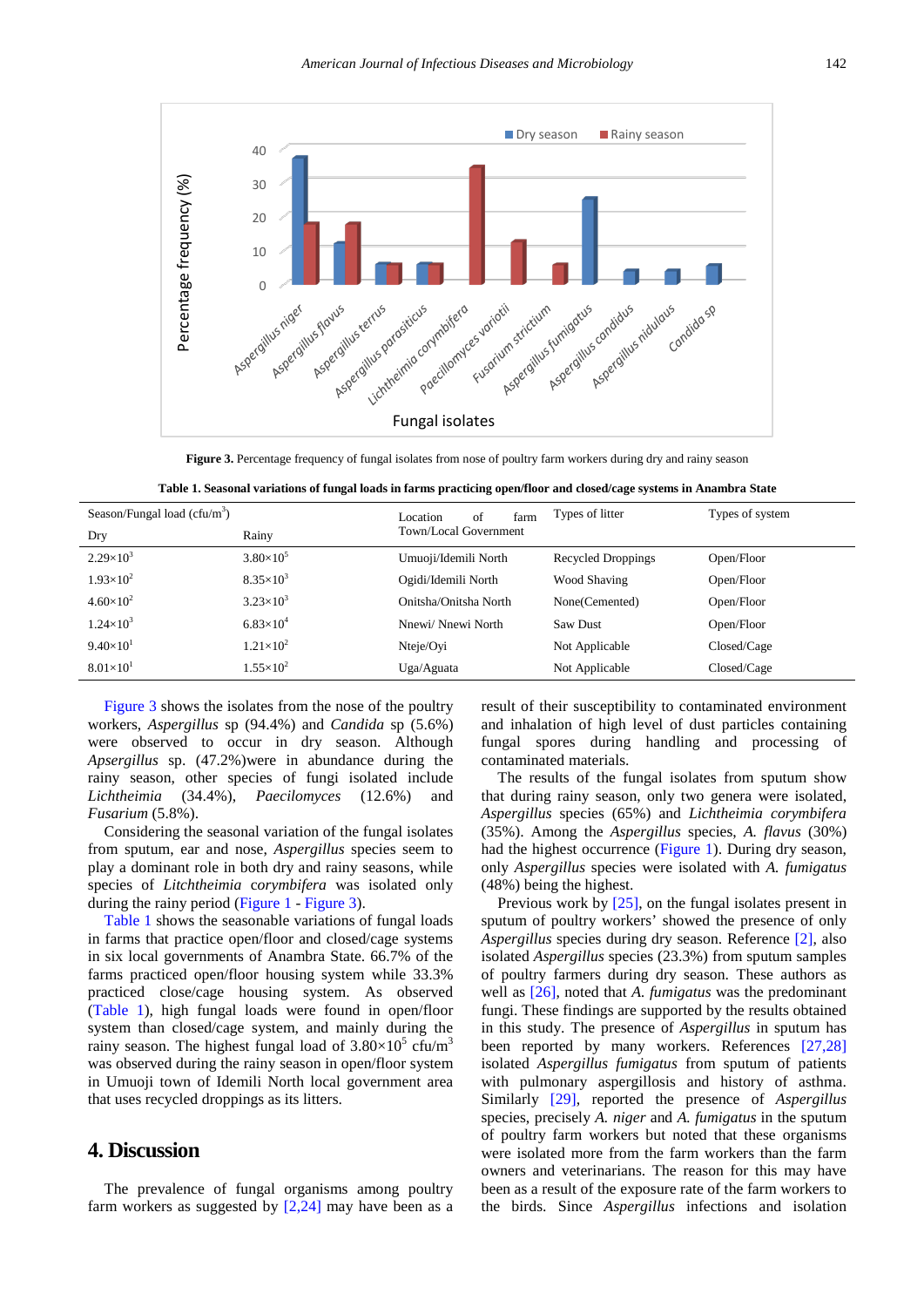<span id="page-3-0"></span>

Figure 3. Percentage frequency of fungal isolates from nose of poultry farm workers during dry and rainy season

<span id="page-3-1"></span>

| Season/Fungal load ( $c$ fu/m <sup>3</sup> ) |                    | of<br>Location<br>farm | Types of litter           | Types of system |
|----------------------------------------------|--------------------|------------------------|---------------------------|-----------------|
| Dry                                          | Rainy              | Town/Local Government  |                           |                 |
| $2.29\times10^{3}$                           | $3.80\times10^{5}$ | Umuoji/Idemili North   | <b>Recycled Droppings</b> | Open/Floor      |
| $1.93\times10^{2}$                           | $8.35\times10^{3}$ | Ogidi/Idemili North    | <b>Wood Shaving</b>       | Open/Floor      |
| $4.60\times10^{2}$                           | $3.23\times10^{3}$ | Onitsha/Onitsha North  | None(Cemented)            | Open/Floor      |
| $1.24\times10^{3}$                           | $6.83\times10^{4}$ | Nnewi/Nnewi North      | Saw Dust                  | Open/Floor      |
| $9.40\times10^{1}$                           | $1.21\times10^{2}$ | Nteje/Ovi              | Not Applicable            | Closed/Cage     |
| $8.01\times10^{1}$                           | $1.55\times10^{2}$ | Uga/Aguata             | Not Applicable            | Closed/Cage     |

**Table 1. Seasonal variations of fungal loads in farms practicing open/floor and closed/cage systems in Anambra State**

[Figure 3](#page-3-0) shows the isolates from the nose of the poultry workers, *Aspergillus* sp (94.4%) and *Candida* sp (5.6%) were observed to occur in dry season. Although *Apsergillus* sp. (47.2%)were in abundance during the rainy season, other species of fungi isolated include *Lichtheimia* (34.4%), *Paecilomyces* (12.6%) and *Fusarium* (5.8%).

Considering the seasonal variation of the fungal isolates from sputum, ear and nose, *Aspergillus* species seem to play a dominant role in both dry and rainy seasons, while species of *Litchtheimia* c*orymbifera* was isolated only during the rainy period [\(Figure 1](#page-2-0) - [Figure 3\)](#page-3-0).

[Table 1](#page-3-1) shows the seasonable variations of fungal loads in farms that practice open/floor and closed/cage systems in six local governments of Anambra State. 66.7% of the farms practiced open/floor housing system while 33.3% practiced close/cage housing system. As observed [\(Table 1\)](#page-3-1), high fungal loads were found in open/floor system than closed/cage system, and mainly during the rainy season. The highest fungal load of  $3.80\times10^{5}$  cfu/m<sup>3</sup> was observed during the rainy season in open/floor system in Umuoji town of Idemili North local government area that uses recycled droppings as its litters.

# **4. Discussion**

The prevalence of fungal organisms among poultry farm workers as suggested by [\[2,24\]](#page-5-1) may have been as a result of their susceptibility to contaminated environment and inhalation of high level of dust particles containing fungal spores during handling and processing of contaminated materials.

The results of the fungal isolates from sputum show that during rainy season, only two genera were isolated, *Aspergillus* species (65%) and *Lichtheimia corymbifera* (35%). Among the *Aspergillus* species, *A. flavus* (30%) had the highest occurrence [\(Figure 1\)](#page-2-0). During dry season, only *Aspergillus* species were isolated with *A. fumigatus* (48%) being the highest.

Previous work by [\[25\],](#page-5-19) on the fungal isolates present in sputum of poultry workers' showed the presence of only *Aspergillus* species during dry season. Reference [\[2\],](#page-5-1) also isolated *Aspergillus* species (23.3%) from sputum samples of poultry farmers during dry season. These authors as well as [\[26\],](#page-5-20) noted that *A. fumigatus* was the predominant fungi. These findings are supported by the results obtained in this study. The presence of *Aspergillus* in sputum has been reported by many workers. References [\[27,28\]](#page-5-21) isolated *Aspergillus fumigatus* from sputum of patients with pulmonary aspergillosis and history of asthma. Similarly [\[29\],](#page-5-22) reported the presence of *Aspergillus* species, precisely *A. niger* and *A. fumigatus* in the sputum of poultry farm workers but noted that these organisms were isolated more from the farm workers than the farm owners and veterinarians. The reason for this may have been as a result of the exposure rate of the farm workers to the birds. Since *Aspergillus* infections and isolation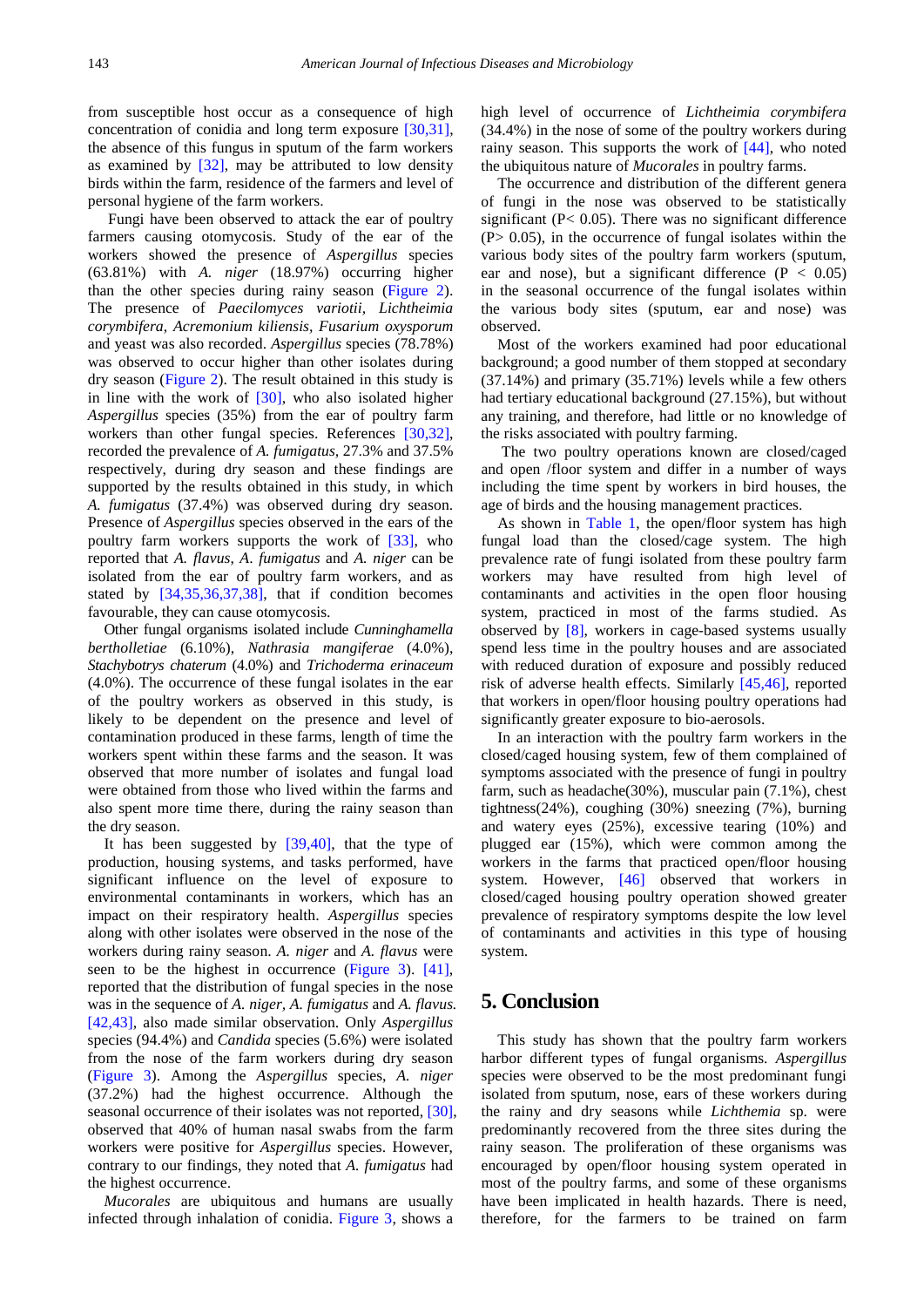from susceptible host occur as a consequence of high concentration of conidia and long term exposure [\[30,31\],](#page-5-23) the absence of this fungus in sputum of the farm workers as examined by [\[32\],](#page-5-24) may be attributed to low density birds within the farm, residence of the farmers and level of personal hygiene of the farm workers.

Fungi have been observed to attack the ear of poultry farmers causing otomycosis. Study of the ear of the workers showed the presence of *Aspergillus* species (63.81%) with *A. niger* (18.97%) occurring higher than the other species during rainy season [\(Figure 2\)](#page-2-1). The presence of *Paecilomyces variotii, Lichtheimia corymbifera*, *Acremonium kiliensis, Fusarium oxysporum* and yeast was also recorded. *Aspergillus* species (78.78%) was observed to occur higher than other isolates during dry season [\(Figure 2\)](#page-2-1). The result obtained in this study is in line with the work of [\[30\],](#page-5-23) who also isolated higher *Aspergillus* species (35%) from the ear of poultry farm workers than other fungal species. References [\[30,32\],](#page-5-23) recorded the prevalence of *A. fumigatus,* 27.3% and 37.5% respectively, during dry season and these findings are supported by the results obtained in this study, in which *A. fumigatus* (37.4%) was observed during dry season. Presence of *Aspergillus* species observed in the ears of the poultry farm workers supports the work of [\[33\],](#page-5-25) who reported that *A. flavus*, *A*. *fumigatus* and *A. niger* can be isolated from the ear of poultry farm workers, and as stated by [\[34,35,36,37,38\],](#page-5-26) that if condition becomes favourable, they can cause otomycosis.

Other fungal organisms isolated include *Cunninghamella bertholletiae* (6.10%), *Nathrasia mangiferae* (4.0%), *Stachybotrys chaterum* (4.0%) and *Trichoderma erinaceum* (4.0%). The occurrence of these fungal isolates in the ear of the poultry workers as observed in this study, is likely to be dependent on the presence and level of contamination produced in these farms, length of time the workers spent within these farms and the season. It was observed that more number of isolates and fungal load were obtained from those who lived within the farms and also spent more time there, during the rainy season than the dry season.

It has been suggested by [\[39,40\],](#page-5-27) that the type of production, housing systems, and tasks performed, have significant influence on the level of exposure to environmental contaminants in workers, which has an impact on their respiratory health. *Aspergillus* species along with other isolates were observed in the nose of the workers during rainy season. *A. niger* and *A. flavus* were seen to be the highest in occurrence [\(Figure 3\)](#page-3-0). [\[41\],](#page-5-28) reported that the distribution of fungal species in the nose was in the sequence of *A. niger, A. fumigatus* and *A. flavus.* [\[42,43\],](#page-5-29) also made similar observation. Only *Aspergillus* species (94.4%) and *Candida* species (5.6%) were isolated from the nose of the farm workers during dry season [\(Figure 3\)](#page-3-0). Among the *Aspergillus* species, *A. niger* (37.2%) had the highest occurrence. Although the seasonal occurrence of their isolates was not reported, [\[30\],](#page-5-23) observed that 40% of human nasal swabs from the farm workers were positive for *Aspergillus* species. However, contrary to our findings, they noted that *A. fumigatus* had the highest occurrence.

*Mucorales* are ubiquitous and humans are usually infected through inhalation of conidia. [Figure 3,](#page-3-0) shows a high level of occurrence of *Lichtheimia corymbifera*  (34.4%) in the nose of some of the poultry workers during rainy season. This supports the work of [\[44\],](#page-6-0) who noted the ubiquitous nature of *Mucorales* in poultry farms.

The occurrence and distribution of the different genera of fungi in the nose was observed to be statistically significant (P< 0.05). There was no significant difference  $(P> 0.05)$ , in the occurrence of fungal isolates within the various body sites of the poultry farm workers (sputum, ear and nose), but a significant difference ( $P < 0.05$ ) in the seasonal occurrence of the fungal isolates within the various body sites (sputum, ear and nose) was observed.

Most of the workers examined had poor educational background; a good number of them stopped at secondary (37.14%) and primary (35.71%) levels while a few others had tertiary educational background (27.15%), but without any training, and therefore, had little or no knowledge of the risks associated with poultry farming.

The two poultry operations known are closed/caged and open /floor system and differ in a number of ways including the time spent by workers in bird houses, the age of birds and the housing management practices.

As shown in [Table 1,](#page-3-1) the open/floor system has high fungal load than the closed/cage system. The high prevalence rate of fungi isolated from these poultry farm workers may have resulted from high level of contaminants and activities in the open floor housing system, practiced in most of the farms studied. As observed by [\[8\],](#page-5-6) workers in cage-based systems usually spend less time in the poultry houses and are associated with reduced duration of exposure and possibly reduced risk of adverse health effects. Similarly [\[45,46\],](#page-6-1) reported that workers in open/floor housing poultry operations had significantly greater exposure to bio-aerosols.

In an interaction with the poultry farm workers in the closed/caged housing system, few of them complained of symptoms associated with the presence of fungi in poultry farm, such as headache(30%), muscular pain (7.1%), chest tightness(24%), coughing (30%) sneezing (7%), burning and watery eyes (25%), excessive tearing (10%) and plugged ear (15%), which were common among the workers in the farms that practiced open/floor housing system. However, [\[46\]](#page-6-2) observed that workers in closed/caged housing poultry operation showed greater prevalence of respiratory symptoms despite the low level of contaminants and activities in this type of housing system.

# **5. Conclusion**

This study has shown that the poultry farm workers harbor different types of fungal organisms. *Aspergillus*  species were observed to be the most predominant fungi isolated from sputum, nose, ears of these workers during the rainy and dry seasons while *Lichthemia* sp. were predominantly recovered from the three sites during the rainy season. The proliferation of these organisms was encouraged by open/floor housing system operated in most of the poultry farms, and some of these organisms have been implicated in health hazards. There is need, therefore, for the farmers to be trained on farm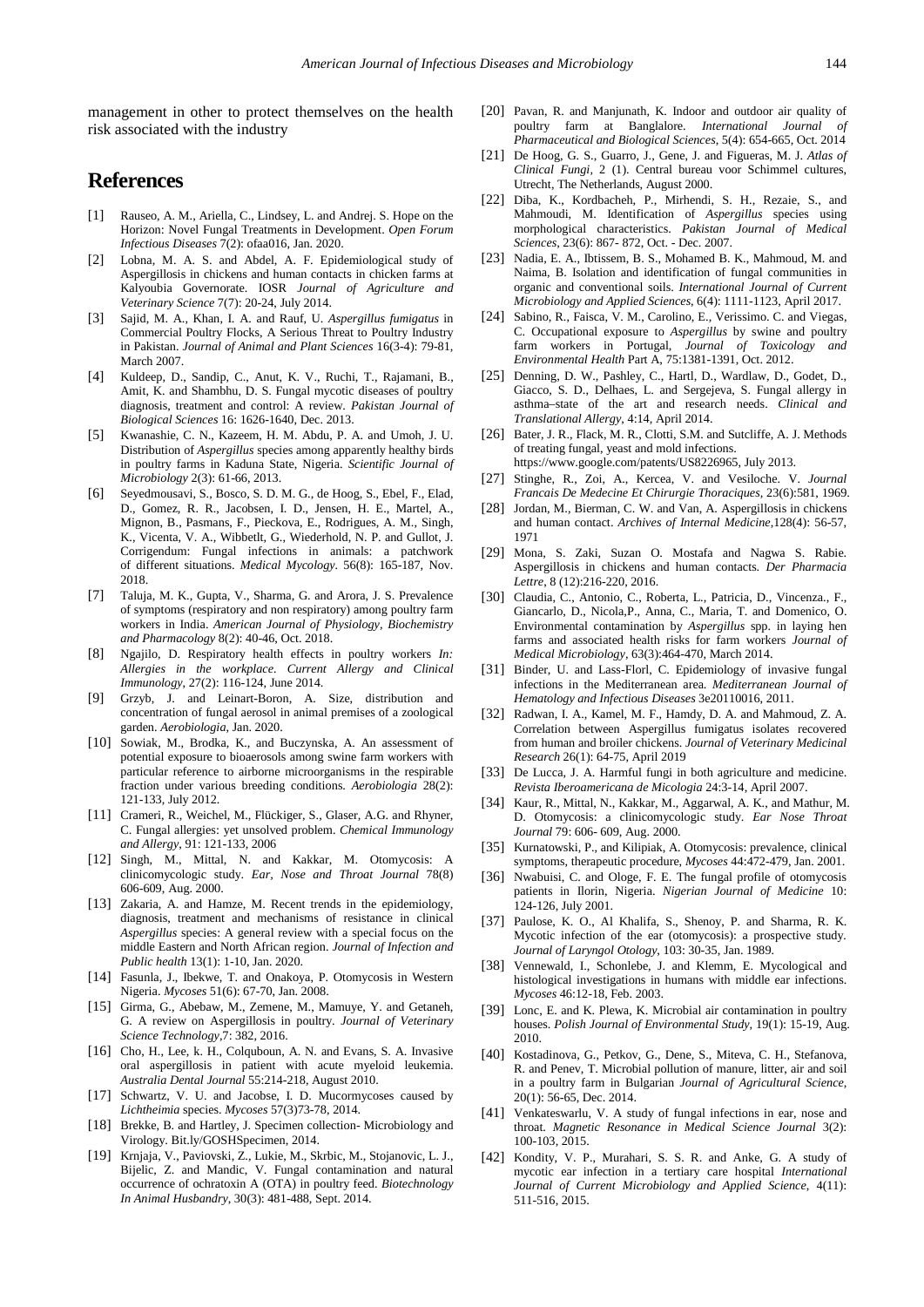management in other to protect themselves on the health risk associated with the industry

# **References**

- <span id="page-5-0"></span>[1] Rauseo, A. M., Ariella, C., Lindsey, L. and Andrej. S. Hope on the Horizon: Novel Fungal Treatments in Development. *Open Forum Infectious Diseases* 7(2): ofaa016, Jan. 2020.
- <span id="page-5-1"></span>[2] Lobna, M. A. S. and Abdel, A. F. Epidemiological study of Aspergillosis in chickens and human contacts in chicken farms at Kalyoubia Governorate. IOSR *Journal of Agriculture and Veterinary Science* 7(7): 20-24, July 2014.
- <span id="page-5-2"></span>[3] Sajid, M. A., Khan, I. A. and Rauf, U. *Aspergillus fumigatus* in Commercial Poultry Flocks, A Serious Threat to Poultry Industry in Pakistan. *Journal of Animal and Plant Sciences* 16(3-4): 79-81, March 2007.
- [4] Kuldeep, D., Sandip, C., Anut, K. V., Ruchi, T., Rajamani, B., Amit, K. and Shambhu, D. S. Fungal mycotic diseases of poultry diagnosis, treatment and control: A review. *Pakistan Journal of Biological Sciences* 16: 1626-1640, Dec. 2013.
- <span id="page-5-3"></span>[5] Kwanashie, C. N., Kazeem, H. M. Abdu, P. A. and Umoh, J. U. Distribution of *Aspergillus* species among apparently healthy birds in poultry farms in Kaduna State, Nigeria. *Scientific Journal of Microbiology* 2(3): 61-66, 2013.
- <span id="page-5-4"></span>[6] Seyedmousavi, S., Bosco, S. D. M. G., de Hoog, S., Ebel, F., Elad, D., Gomez, R. R., Jacobsen, I. D., Jensen, H. E., Martel, A., Mignon, B., Pasmans, F., Pieckova, E., Rodrigues, A. M., Singh, K., Vicenta, V. A., Wibbetlt, G., Wiederhold, N. P. and Gullot, J. Corrigendum: Fungal infections in animals: a patchwork of different situations. *Medical Mycology.* 56(8): 165-187, Nov. 2018.
- <span id="page-5-5"></span>[7] Taluja, M. K., Gupta, V., Sharma, G. and Arora, J. S. Prevalence of symptoms (respiratory and non respiratory) among poultry farm workers in India. *American Journal of Physiology, Biochemistry and Pharmacology* 8(2): 40-46, Oct. 2018.
- <span id="page-5-6"></span>[8] Ngajilo, D. Respiratory health effects in poultry workers *In: Allergies in the workplace. Current Allergy and Clinical Immunology*, 27(2): 116-124, June 2014.
- <span id="page-5-7"></span>[9] Grzyb, J. and Leinart-Boron, A. Size, distribution and concentration of fungal aerosol in animal premises of a zoological garden. *Aerobiologia*, Jan. 2020.
- <span id="page-5-8"></span>[10] Sowiak, M., Brodka, K., and Buczynska, A. An assessment of potential exposure to bioaerosols among swine farm workers with particular reference to airborne microorganisms in the respirable fraction under various breeding conditions. *Aerobiologia* 28(2): 121-133, July 2012.
- <span id="page-5-9"></span>[11] Crameri, R., Weichel, M., Flückiger, S., Glaser, A.G. and Rhyner, C. Fungal allergies: yet unsolved problem. *Chemical Immunology and Allergy*, 91: 121-133, 2006
- <span id="page-5-10"></span>[12] Singh, M., Mittal, N. and Kakkar, M. Otomycosis: A clinicomycologic study. *Ear, Nose and Throat Journal* 78(8) 606-609, Aug. 2000.
- <span id="page-5-11"></span>[13] Zakaria, A. and Hamze, M. Recent trends in the epidemiology, diagnosis, treatment and mechanisms of resistance in clinical *Aspergillus* species: A general review with a special focus on the middle Eastern and North African region. *Journal of Infection and Public health* 13(1): 1-10, Jan. 2020.
- <span id="page-5-12"></span>[14] Fasunla, J., Ibekwe, T. and Onakoya, P. Otomycosis in Western Nigeria. *Mycoses* 51(6): 67-70, Jan. 2008.
- <span id="page-5-13"></span>[15] Girma, G., Abebaw, M., Zemene, M., Mamuye, Y. and Getaneh, G. A review on Aspergillosis in poultry. *Journal of Veterinary Science Technology*,7: 382, 2016.
- <span id="page-5-14"></span>[16] Cho, H., Lee, k. H., Colquboun, A. N. and Evans, S. A. Invasive oral aspergillosis in patient with acute myeloid leukemia. *Australia Dental Journal* 55:214-218, August 2010.
- <span id="page-5-15"></span>[17] Schwartz, V. U. and Jacobse, I. D. Mucormycoses caused by *Lichtheimia* species. *Mycoses* 57(3)73-78, 2014.
- <span id="page-5-16"></span>[18] Brekke, B. and Hartley, J. Specimen collection-Microbiology and Virology. Bit.ly/GOSHSpecimen, 2014.
- <span id="page-5-17"></span>[19] Krnjaja, V., Paviovski, Z., Lukie, M., Skrbic, M., Stojanovic, L. J., Bijelic, Z. and Mandic, V. Fungal contamination and natural occurrence of ochratoxin A (OTA) in poultry feed. *Biotechnology In Animal Husbandry*, 30(3): 481-488, Sept. 2014.
- [20] Pavan, R. and Manjunath, K. Indoor and outdoor air quality of poultry farm at Banglalore. *International Journal of Pharmaceutical and Biological Sciences*, 5(4): 654-665, Oct. 2014
- <span id="page-5-18"></span>[21] De Hoog, G. S., Guarro, J., Gene, J. and Figueras, M. J. *Atlas of Clinical Fungi,* 2 (1). Central bureau voor Schimmel cultures, Utrecht, The Netherlands, August 2000.
- [22] Diba, K., Kordbacheh, P., Mirhendi, S. H., Rezaie, S., and Mahmoudi, M. Identification of *Aspergillus* species using morphological characteristics. *Pakistan Journal of Medical Sciences*, 23(6): 867- 872, Oct. - Dec. 2007.
- [23] Nadia, E. A., Ibtissem, B. S., Mohamed B. K., Mahmoud, M. and Naima, B. Isolation and identification of fungal communities in organic and conventional soils. *International Journal of Current Microbiology and Applied Sciences*, 6(4): 1111-1123, April 2017.
- [24] Sabino, R., Faisca, V. M., Carolino, E., Verissimo. C. and Viegas, C. Occupational exposure to *Aspergillus* by swine and poultry farm workers in Portugal, *Journal of Toxicology and Environmental Health* Part A, 75:1381-1391, Oct. 2012.
- <span id="page-5-19"></span>[25] Denning, D. W., Pashley, C., Hartl, D., Wardlaw, D., Godet, D., Giacco, S. D., Delhaes, L. and Sergejeva, S. Fungal allergy in asthma–state of the art and research needs. *Clinical and Translational Allergy*, 4:14, April 2014.
- <span id="page-5-20"></span>[26] Bater, J. R., Flack, M. R., Clotti, S.M. and Sutcliffe, A. J. Methods of treating fungal, yeast and mold infections. https://www.google.com/patents/US8226965, July 2013.
- <span id="page-5-21"></span>[27] Stinghe, R., Zoi, A., Kercea, V. and Vesiloche. V. *Journal Francais De Medecine Et Chirurgie Thoraciques,* 23(6):581, 1969.
- [28] Jordan, M., Bierman, C. W. and Van, A. Aspergillosis in chickens and human contact. *Archives of Internal Medicine*,128(4): 56-57, 1971
- <span id="page-5-22"></span>[29] Mona, S. Zaki, Suzan O. Mostafa and Nagwa S. Rabie. Aspergillosis in chickens and human contacts. *Der Pharmacia Lettre*, 8 (12):216-220, 2016.
- <span id="page-5-23"></span>[30] Claudia, C., Antonio, C., Roberta, L., Patricia, D., Vincenza., F., Giancarlo, D., Nicola,P., Anna, C., Maria, T. and Domenico, O. Environmental contamination by *Aspergillus* spp. in laying hen farms and associated health risks for farm workers *Journal of Medical Microbiology*, 63(3):464-470, March 2014.
- [31] Binder, U. and Lass-Florl, C. Epidemiology of invasive fungal infections in the Mediterranean area. *Mediterranean Journal of Hematology and Infectious Diseases* 3e20110016, 2011.
- <span id="page-5-24"></span>[32] Radwan, I. A., Kamel, M. F., Hamdy, D. A. and Mahmoud, Z. A. Correlation between Aspergillus fumigatus isolates recovered from human and broiler chickens. *Journal of Veterinary Medicinal Research* 26(1): 64-75, April 2019
- <span id="page-5-25"></span>[33] De Lucca, J. A. Harmful fungi in both agriculture and medicine. *Revista Iberoamericana de Micologia* 24:3-14, April 2007.
- <span id="page-5-26"></span>[34] Kaur, R., Mittal, N., Kakkar, M., Aggarwal, A. K., and Mathur, M. D. Otomycosis: a clinicomycologic study. *Ear Nose Throat Journal* 79: 606- 609, Aug. 2000.
- [35] Kurnatowski, P., and Kilipiak, A. Otomycosis: prevalence, clinical symptoms, therapeutic procedure, *Mycoses* 44:472-479, Jan. 2001.
- [36] Nwabuisi, C. and Ologe, F. E. The fungal profile of otomycosis patients in Ilorin, Nigeria. *Nigerian Journal of Medicine* 10: 124-126, July 2001.
- [37] Paulose, K. O., Al Khalifa, S., Shenoy, P. and Sharma, R. K. Mycotic infection of the ear (otomycosis): a prospective study*. Journal of Laryngol Otology*, 103: 30-35, Jan. 1989.
- [38] Vennewald, I., Schonlebe, J. and Klemm, E. Mycological and histological investigations in humans with middle ear infections. *Mycoses* 46:12-18, Feb. 2003.
- <span id="page-5-27"></span>[39] Lonc, E. and K. Plewa, K. Microbial air contamination in poultry houses. *Polish Journal of Environmental Study*, 19(1): 15-19, Aug. 2010.
- [40] Kostadinova, G., Petkov, G., Dene, S., Miteva, C. H., Stefanova, R. and Penev, T. Microbial pollution of manure, litter, air and soil in a poultry farm in Bulgarian *Journal of Agricultural Science*, 20(1): 56-65, Dec. 2014.
- <span id="page-5-28"></span>[41] Venkateswarlu, V. A study of fungal infections in ear, nose and throat. *Magnetic Resonance in Medical Science Journal* 3(2): 100-103, 2015.
- <span id="page-5-29"></span>[42] Kondity, V. P., Murahari, S. S. R. and Anke, G. A study of mycotic ear infection in a tertiary care hospital *International Journal of Current Microbiology and Applied Science*, 4(11): 511-516, 2015.